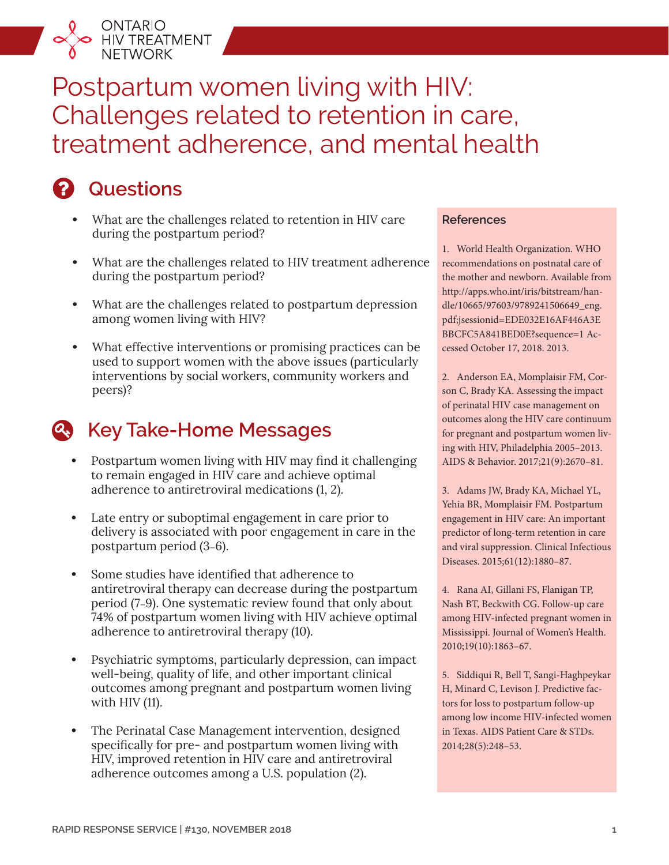

# Postpartum women living with HIV: Challenges related to retention in care, treatment adherence, and mental health

### **Questions**

- **•** What are the challenges related to retention in HIV care during the postpartum period?
- **•** What are the challenges related to HIV treatment adherence during the postpartum period?
- **•** What are the challenges related to postpartum depression among women living with HIV?
- **•** What effective interventions or promising practices can be used to support women with the above issues (particularly interventions by social workers, community workers and peers)?

### **Key Take-Home Messages**

- **•** Postpartum women living with HIV may find it challenging to remain engaged in HIV care and achieve optimal adherence to antiretroviral medications (1, 2).
- **•** Late entry or suboptimal engagement in care prior to delivery is associated with poor engagement in care in the postpartum period (3–6).
- **•** Some studies have identified that adherence to antiretroviral therapy can decrease during the postpartum period (7–9). One systematic review found that only about 74% of postpartum women living with HIV achieve optimal adherence to antiretroviral therapy (10).
- **•** Psychiatric symptoms, particularly depression, can impact well-being, quality of life, and other important clinical outcomes among pregnant and postpartum women living with HIV (11).
- **•** The Perinatal Case Management intervention, designed specifically for pre- and postpartum women living with HIV, improved retention in HIV care and antiretroviral adherence outcomes among a U.S. population (2).

#### **References**

1. World Health Organization. WHO recommendations on postnatal care of the mother and newborn. Available from [http://apps.who.int/iris/bitstream/han](http://apps.who.int/iris/bitstream/handle/10665/97603/9789241506649_eng.pdf;jsessionid=EDE032E16AF446A3EBBCFC5A841BED0E?sequence=1)[dle/10665/97603/9789241506649\\_eng.](http://apps.who.int/iris/bitstream/handle/10665/97603/9789241506649_eng.pdf;jsessionid=EDE032E16AF446A3EBBCFC5A841BED0E?sequence=1) [pdf;jsessionid=EDE032E16AF446A3E](http://apps.who.int/iris/bitstream/handle/10665/97603/9789241506649_eng.pdf;jsessionid=EDE032E16AF446A3EBBCFC5A841BED0E?sequence=1) [BBCFC5A841BED0E?sequence=1](http://apps.who.int/iris/bitstream/handle/10665/97603/9789241506649_eng.pdf;jsessionid=EDE032E16AF446A3EBBCFC5A841BED0E?sequence=1) Accessed October 17, 2018. 2013.

2. Anderson EA, Momplaisir FM, Corson C, Brady KA. Assessing the impact of perinatal HIV case management on outcomes along the HIV care continuum for pregnant and postpartum women living with HIV, Philadelphia 2005–2013. AIDS & Behavior. 2017;21(9):2670–81.

3. Adams JW, Brady KA, Michael YL, Yehia BR, Momplaisir FM. Postpartum engagement in HIV care: An important predictor of long-term retention in care and viral suppression. Clinical Infectious Diseases. 2015;61(12):1880–87.

4. Rana AI, Gillani FS, Flanigan TP, Nash BT, Beckwith CG. Follow-up care among HIV-infected pregnant women in Mississippi. Journal of Women's Health. 2010;19(10):1863–67.

5. Siddiqui R, Bell T, Sangi-Haghpeykar H, Minard C, Levison J. Predictive factors for loss to postpartum follow-up among low income HIV-infected women in Texas. AIDS Patient Care & STDs. 2014;28(5):248–53.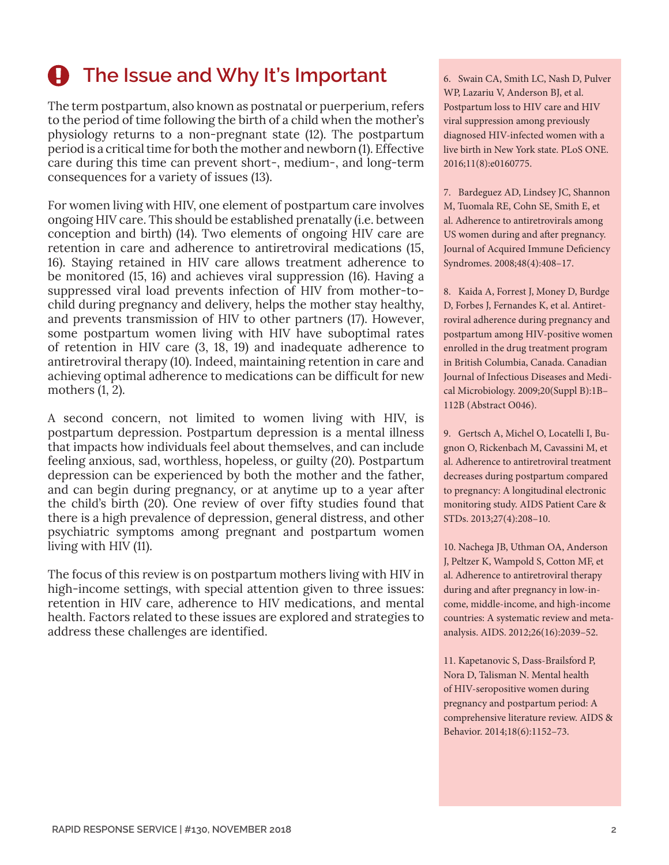# **A** The Issue and Why It's Important

The term postpartum, also known as postnatal or puerperium, refers to the period of time following the birth of a child when the mother's physiology returns to a non-pregnant state (12). The postpartum period is a critical time for both the mother and newborn (1). Effective care during this time can prevent short-, medium-, and long-term consequences for a variety of issues (13).

For women living with HIV, one element of postpartum care involves ongoing HIV care. This should be established prenatally (i.e. between conception and birth) (14). Two elements of ongoing HIV care are retention in care and adherence to antiretroviral medications (15, 16). Staying retained in HIV care allows treatment adherence to be monitored (15, 16) and achieves viral suppression (16). Having a suppressed viral load prevents infection of HIV from mother-tochild during pregnancy and delivery, helps the mother stay healthy, and prevents transmission of HIV to other partners (17). However, some postpartum women living with HIV have suboptimal rates of retention in HIV care (3, 18, 19) and inadequate adherence to antiretroviral therapy (10). Indeed, maintaining retention in care and achieving optimal adherence to medications can be difficult for new mothers (1, 2).

A second concern, not limited to women living with HIV, is postpartum depression. Postpartum depression is a mental illness that impacts how individuals feel about themselves, and can include feeling anxious, sad, worthless, hopeless, or guilty (20). Postpartum depression can be experienced by both the mother and the father, and can begin during pregnancy, or at anytime up to a year after the child's birth (20). One review of over fifty studies found that there is a high prevalence of depression, general distress, and other psychiatric symptoms among pregnant and postpartum women living with HIV (11).

The focus of this review is on postpartum mothers living with HIV in high-income settings, with special attention given to three issues: retention in HIV care, adherence to HIV medications, and mental health. Factors related to these issues are explored and strategies to address these challenges are identified.

6. Swain CA, Smith LC, Nash D, Pulver WP, Lazariu V, Anderson BJ, et al. Postpartum loss to HIV care and HIV viral suppression among previously diagnosed HIV-infected women with a live birth in New York state. PLoS ONE. 2016;11(8):e0160775.

7. Bardeguez AD, Lindsey JC, Shannon M, Tuomala RE, Cohn SE, Smith E, et al. Adherence to antiretrovirals among US women during and after pregnancy. Journal of Acquired Immune Deficiency Syndromes. 2008;48(4):408–17.

8. Kaida A, Forrest J, Money D, Burdge D, Forbes J, Fernandes K, et al. Antiretroviral adherence during pregnancy and postpartum among HIV-positive women enrolled in the drug treatment program in British Columbia, Canada. Canadian Journal of Infectious Diseases and Medical Microbiology. 2009;20(Suppl B):1B– 112B (Abstract O046).

9. Gertsch A, Michel O, Locatelli I, Bugnon O, Rickenbach M, Cavassini M, et al. Adherence to antiretroviral treatment decreases during postpartum compared to pregnancy: A longitudinal electronic monitoring study. AIDS Patient Care & STDs. 2013;27(4):208–10.

10. Nachega JB, Uthman OA, Anderson J, Peltzer K, Wampold S, Cotton MF, et al. Adherence to antiretroviral therapy during and after pregnancy in low-income, middle-income, and high-income countries: A systematic review and metaanalysis. AIDS. 2012;26(16):2039–52.

11. Kapetanovic S, Dass-Brailsford P, Nora D, Talisman N. Mental health of HIV-seropositive women during pregnancy and postpartum period: A comprehensive literature review. AIDS & Behavior. 2014;18(6):1152–73.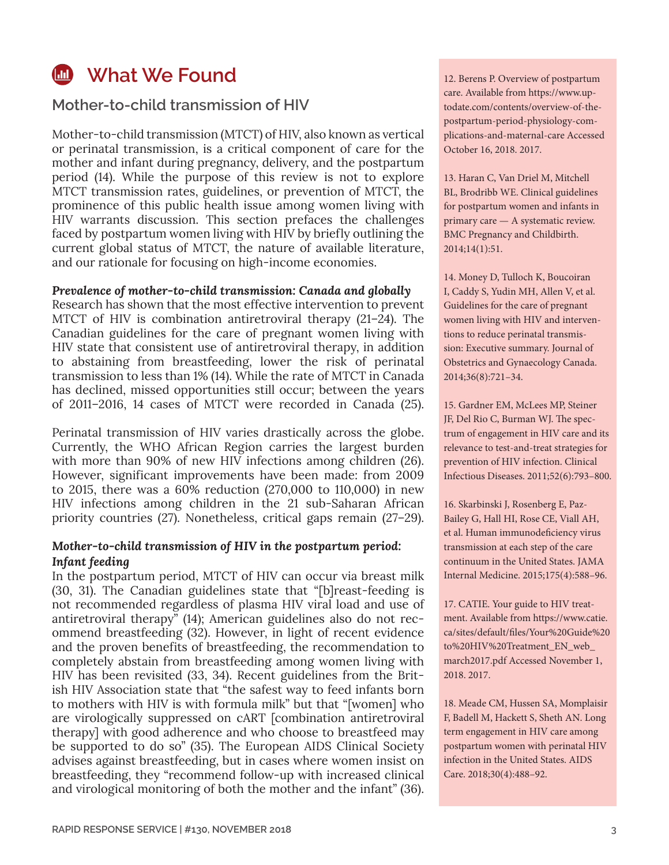### **M** What We Found

**Mother-to-child transmission of HIV**

Mother-to-child transmission (MTCT) of HIV, also known as vertical or perinatal transmission, is a critical component of care for the mother and infant during pregnancy, delivery, and the postpartum period (14). While the purpose of this review is not to explore MTCT transmission rates, guidelines, or prevention of MTCT, the prominence of this public health issue among women living with HIV warrants discussion. This section prefaces the challenges faced by postpartum women living with HIV by briefly outlining the current global status of MTCT, the nature of available literature, and our rationale for focusing on high-income economies.

#### *Prevalence of mother-to-child transmission: Canada and globally*

Research has shown that the most effective intervention to prevent MTCT of HIV is combination antiretroviral therapy (21–24). The Canadian guidelines for the care of pregnant women living with HIV state that consistent use of antiretroviral therapy, in addition to abstaining from breastfeeding, lower the risk of perinatal transmission to less than 1% (14). While the rate of MTCT in Canada has declined, missed opportunities still occur; between the years of 2011–2016, 14 cases of MTCT were recorded in Canada (25).

Perinatal transmission of HIV varies drastically across the globe. Currently, the WHO African Region carries the largest burden with more than 90% of new HIV infections among children (26). However, significant improvements have been made: from 2009 to 2015, there was a 60% reduction (270,000 to 110,000) in new HIV infections among children in the 21 sub-Saharan African priority countries (27). Nonetheless, critical gaps remain (27–29).

#### *Mother-to-child transmission of HIV in the postpartum period: Infant feeding*

In the postpartum period, MTCT of HIV can occur via breast milk (30, 31). The Canadian guidelines state that "[b]reast-feeding is not recommended regardless of plasma HIV viral load and use of antiretroviral therapy" (14); American guidelines also do not recommend breastfeeding (32). However, in light of recent evidence and the proven benefits of breastfeeding, the recommendation to completely abstain from breastfeeding among women living with HIV has been revisited (33, 34). Recent guidelines from the British HIV Association state that "the safest way to feed infants born to mothers with HIV is with formula milk" but that "[women] who are virologically suppressed on cART [combination antiretroviral therapy] with good adherence and who choose to breastfeed may be supported to do so" (35). The European AIDS Clinical Society advises against breastfeeding, but in cases where women insist on breastfeeding, they "recommend follow-up with increased clinical and virological monitoring of both the mother and the infant" (36). 12. Berens P. Overview of postpartum care. Available from [https://www.up](https://www.uptodate.com/contents/overview-of-the-postpartum-period-physiology-complications-and-maternal-care)[todate.com/contents/overview-of-the](https://www.uptodate.com/contents/overview-of-the-postpartum-period-physiology-complications-and-maternal-care)[postpartum-period-physiology-com](https://www.uptodate.com/contents/overview-of-the-postpartum-period-physiology-complications-and-maternal-care)[plications-and-maternal-care](https://www.uptodate.com/contents/overview-of-the-postpartum-period-physiology-complications-and-maternal-care) Accessed October 16, 2018. 2017.

13. Haran C, Van Driel M, Mitchell BL, Brodribb WE. Clinical guidelines for postpartum women and infants in primary care — A systematic review. BMC Pregnancy and Childbirth. 2014;14(1):51.

14. Money D, Tulloch K, Boucoiran I, Caddy S, Yudin MH, Allen V, et al. Guidelines for the care of pregnant women living with HIV and interventions to reduce perinatal transmission: Executive summary. Journal of Obstetrics and Gynaecology Canada. 2014;36(8):721–34.

15. Gardner EM, McLees MP, Steiner JF, Del Rio C, Burman WJ. The spectrum of engagement in HIV care and its relevance to test-and-treat strategies for prevention of HIV infection. Clinical Infectious Diseases. 2011;52(6):793–800.

16. Skarbinski J, Rosenberg E, Paz-Bailey G, Hall HI, Rose CE, Viall AH, et al. Human immunodeficiency virus transmission at each step of the care continuum in the United States. JAMA Internal Medicine. 2015;175(4):588–96.

17. CATIE. Your guide to HIV treatment. Available from [https://www.catie.](https://www.catie.ca/sites/default/files/Your%20Guide%20to%20HIV%20Treatment_EN_web_march2017.pdf) [ca/sites/default/files/Your%20Guide%20](https://www.catie.ca/sites/default/files/Your%20Guide%20to%20HIV%20Treatment_EN_web_march2017.pdf) [to%20HIV%20Treatment\\_EN\\_web\\_](https://www.catie.ca/sites/default/files/Your%20Guide%20to%20HIV%20Treatment_EN_web_march2017.pdf) [march2017.pdf](https://www.catie.ca/sites/default/files/Your%20Guide%20to%20HIV%20Treatment_EN_web_march2017.pdf) Accessed November 1, 2018. 2017.

18. Meade CM, Hussen SA, Momplaisir F, Badell M, Hackett S, Sheth AN. Long term engagement in HIV care among postpartum women with perinatal HIV infection in the United States. AIDS Care. 2018;30(4):488–92.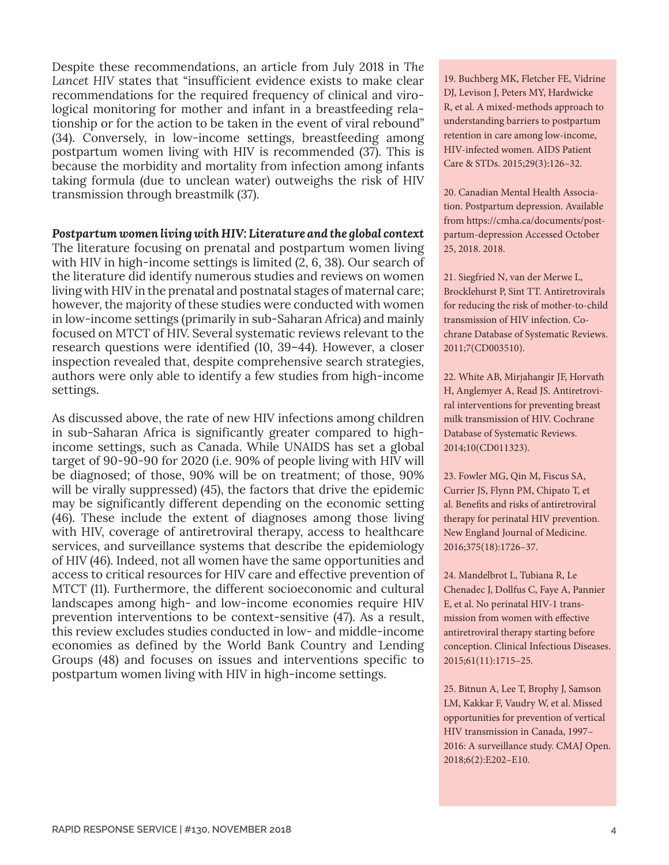Despite these recommendations, an article from July 2018 in *The Lancet HIV* states that "insufficient evidence exists to make clear recommendations for the required frequency of clinical and virological monitoring for mother and infant in a breastfeeding relationship or for the action to be taken in the event of viral rebound" (34). Conversely, in low-income settings, breastfeeding among postpartum women living with HIV is recommended (37). This is because the morbidity and mortality from infection among infants taking formula (due to unclean water) outweighs the risk of HIV transmission through breastmilk (37).

#### *Postpartum women living with HIV: Literature and the global context*

The literature focusing on prenatal and postpartum women living with HIV in high-income settings is limited (2, 6, 38). Our search of the literature did identify numerous studies and reviews on women living with HIV in the prenatal and postnatal stages of maternal care; however, the majority of these studies were conducted with women in low-income settings (primarily in sub-Saharan Africa) and mainly focused on MTCT of HIV. Several systematic reviews relevant to the research questions were identified (10, 39–44). However, a closer inspection revealed that, despite comprehensive search strategies, authors were only able to identify a few studies from high-income settings.

As discussed above, the rate of new HIV infections among children in sub-Saharan Africa is significantly greater compared to highincome settings, such as Canada. While UNAIDS has set a global target of 90-90-90 for 2020 (i.e. 90% of people living with HIV will be diagnosed; of those, 90% will be on treatment; of those, 90% will be virally suppressed) (45), the factors that drive the epidemic may be significantly different depending on the economic setting (46). These include the extent of diagnoses among those living with HIV, coverage of antiretroviral therapy, access to healthcare services, and surveillance systems that describe the epidemiology of HIV (46). Indeed, not all women have the same opportunities and access to critical resources for HIV care and effective prevention of MTCT (11). Furthermore, the different socioeconomic and cultural landscapes among high- and low-income economies require HIV prevention interventions to be context-sensitive (47). As a result, this review excludes studies conducted in low- and middle-income economies as defined by the World Bank Country and Lending Groups (48) and focuses on issues and interventions specific to postpartum women living with HIV in high-income settings.

19. Buchberg MK, Fletcher FE, Vidrine DJ, Levison J, Peters MY, Hardwicke R, et al. A mixed-methods approach to understanding barriers to postpartum retention in care among low-income, HIV-infected women. AIDS Patient Care & STDs. 2015;29(3):126–32.

20. Canadian Mental Health Association. Postpartum depression. Available from [https://cmha.ca/documents/post](https://cmha.ca/documents/postpartum-depression)[partum-depression](https://cmha.ca/documents/postpartum-depression) Accessed October 25, 2018. 2018.

21. Siegfried N, van der Merwe L, Brocklehurst P, Sint TT. Antiretrovirals for reducing the risk of mother-to-child transmission of HIV infection. Cochrane Database of Systematic Reviews. 2011;7(CD003510).

22. White AB, Mirjahangir JF, Horvath H, Anglemyer A, Read JS. Antiretroviral interventions for preventing breast milk transmission of HIV. Cochrane Database of Systematic Reviews. 2014;10(CD011323).

23. Fowler MG, Qin M, Fiscus SA, Currier JS, Flynn PM, Chipato T, et al. Benefits and risks of antiretroviral therapy for perinatal HIV prevention. New England Journal of Medicine. 2016;375(18):1726–37.

24. Mandelbrot L, Tubiana R, Le Chenadec J, Dollfus C, Faye A, Pannier E, et al. No perinatal HIV-1 transmission from women with effective antiretroviral therapy starting before conception. Clinical Infectious Diseases. 2015;61(11):1715–25.

25. Bitnun A, Lee T, Brophy J, Samson LM, Kakkar F, Vaudry W, et al. Missed opportunities for prevention of vertical HIV transmission in Canada, 1997– 2016: A surveillance study. CMAJ Open. 2018;6(2):E202–E10.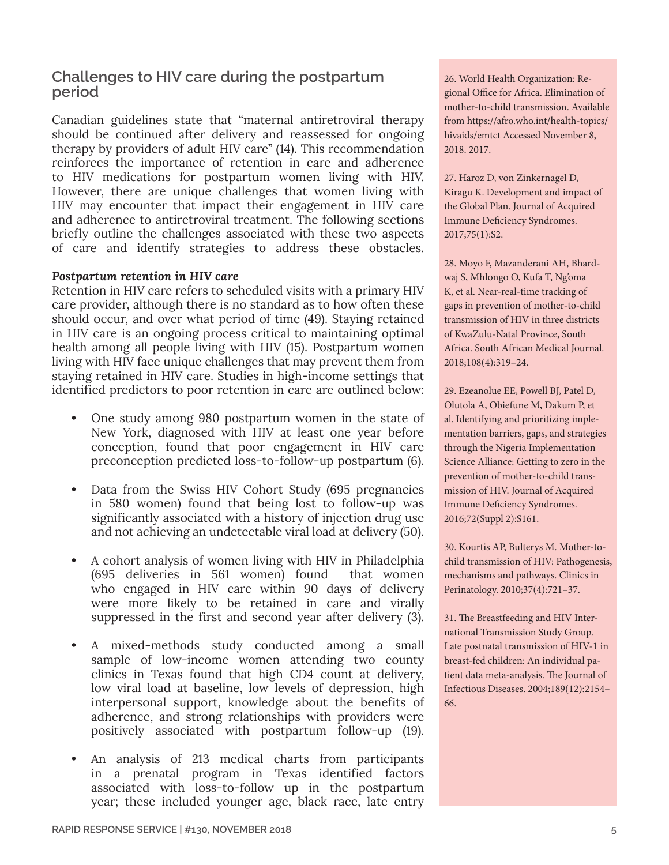### **Challenges to HIV care during the postpartum period**

Canadian guidelines state that "maternal antiretroviral therapy should be continued after delivery and reassessed for ongoing therapy by providers of adult HIV care" (14). This recommendation reinforces the importance of retention in care and adherence to HIV medications for postpartum women living with HIV. However, there are unique challenges that women living with HIV may encounter that impact their engagement in HIV care and adherence to antiretroviral treatment. The following sections briefly outline the challenges associated with these two aspects of care and identify strategies to address these obstacles.

#### *Postpartum retention in HIV care*

Retention in HIV care refers to scheduled visits with a primary HIV care provider, although there is no standard as to how often these should occur, and over what period of time (49). Staying retained in HIV care is an ongoing process critical to maintaining optimal health among all people living with HIV (15). Postpartum women living with HIV face unique challenges that may prevent them from staying retained in HIV care. Studies in high-income settings that identified predictors to poor retention in care are outlined below:

- **•** One study among 980 postpartum women in the state of New York, diagnosed with HIV at least one year before conception, found that poor engagement in HIV care preconception predicted loss-to-follow-up postpartum (6).
- **•** Data from the Swiss HIV Cohort Study (695 pregnancies in 580 women) found that being lost to follow-up was significantly associated with a history of injection drug use and not achieving an undetectable viral load at delivery (50).
- **•** A cohort analysis of women living with HIV in Philadelphia (695 deliveries in 561 women) found that women who engaged in HIV care within 90 days of delivery were more likely to be retained in care and virally suppressed in the first and second year after delivery (3).
- **•** A mixed-methods study conducted among a small sample of low-income women attending two county clinics in Texas found that high CD4 count at delivery, low viral load at baseline, low levels of depression, high interpersonal support, knowledge about the benefits of adherence, and strong relationships with providers were positively associated with postpartum follow-up (19).
- **•** An analysis of 213 medical charts from participants in a prenatal program in Texas identified factors associated with loss-to-follow up in the postpartum year; these included younger age, black race, late entry

26. World Health Organization: Regional Office for Africa. Elimination of mother-to-child transmission. Available from [https://afro.who.int/health-topics/](https://afro.who.int/health-topics/hivaids/emtct) [hivaids/emtct](https://afro.who.int/health-topics/hivaids/emtct) Accessed November 8, 2018. 2017.

27. Haroz D, von Zinkernagel D, Kiragu K. Development and impact of the Global Plan. Journal of Acquired Immune Deficiency Syndromes. 2017;75(1):S2.

28. Moyo F, Mazanderani AH, Bhardwaj S, Mhlongo O, Kufa T, Ng'oma K, et al. Near-real-time tracking of gaps in prevention of mother-to-child transmission of HIV in three districts of KwaZulu-Natal Province, South Africa. South African Medical Journal. 2018;108(4):319–24.

29. Ezeanolue EE, Powell BJ, Patel D, Olutola A, Obiefune M, Dakum P, et al. Identifying and prioritizing implementation barriers, gaps, and strategies through the Nigeria Implementation Science Alliance: Getting to zero in the prevention of mother-to-child transmission of HIV. Journal of Acquired Immune Deficiency Syndromes. 2016;72(Suppl 2):S161.

30. Kourtis AP, Bulterys M. Mother-tochild transmission of HIV: Pathogenesis, mechanisms and pathways. Clinics in Perinatology. 2010;37(4):721–37.

31. The Breastfeeding and HIV International Transmission Study Group. Late postnatal transmission of HIV-1 in breast-fed children: An individual patient data meta-analysis. The Journal of Infectious Diseases. 2004;189(12):2154– 66.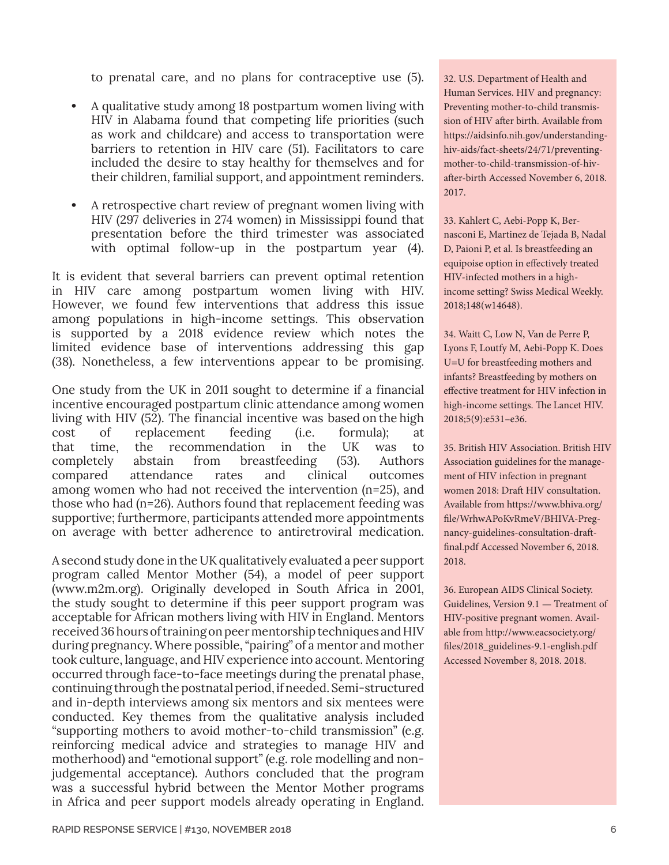to prenatal care, and no plans for contraceptive use (5).

- **•** A qualitative study among 18 postpartum women living with HIV in Alabama found that competing life priorities (such as work and childcare) and access to transportation were barriers to retention in HIV care (51). Facilitators to care included the desire to stay healthy for themselves and for their children, familial support, and appointment reminders.
- **•** A retrospective chart review of pregnant women living with HIV (297 deliveries in 274 women) in Mississippi found that presentation before the third trimester was associated with optimal follow-up in the postpartum year (4).

It is evident that several barriers can prevent optimal retention in HIV care among postpartum women living with HIV. However, we found few interventions that address this issue among populations in high-income settings. This observation is supported by a 2018 evidence review which notes the limited evidence base of interventions addressing this gap (38). Nonetheless, a few interventions appear to be promising.

One study from the UK in 2011 sought to determine if a financial incentive encouraged postpartum clinic attendance among women living with HIV (52). The financial incentive was based on the high cost of replacement feeding (i.e. formula); at that time, the recommendation in the UK was to completely abstain from breastfeeding (53). Authors compared attendance rates and clinical outcomes among women who had not received the intervention (n=25), and those who had (n=26). Authors found that replacement feeding was supportive; furthermore, participants attended more appointments on average with better adherence to antiretroviral medication.

A second study done in the UK qualitatively evaluated a peer support program called Mentor Mother (54), a model of peer support ([www.m2m.org](http://www.m2m.org)). Originally developed in South Africa in 2001, the study sought to determine if this peer support program was acceptable for African mothers living with HIV in England. Mentors received 36 hours of training on peer mentorship techniques and HIV during pregnancy. Where possible, "pairing" of a mentor and mother took culture, language, and HIV experience into account. Mentoring occurred through face-to-face meetings during the prenatal phase, continuing through the postnatal period, if needed. Semi-structured and in-depth interviews among six mentors and six mentees were conducted. Key themes from the qualitative analysis included "supporting mothers to avoid mother-to-child transmission" (e.g. reinforcing medical advice and strategies to manage HIV and motherhood) and "emotional support" (e.g. role modelling and nonjudgemental acceptance). Authors concluded that the program was a successful hybrid between the Mentor Mother programs in Africa and peer support models already operating in England.

32. U.S. Department of Health and Human Services. HIV and pregnancy: Preventing mother-to-child transmission of HIV after birth. Available from [https://aidsinfo.nih.gov/understanding](https://aidsinfo.nih.gov/understanding-hiv-aids/fact-sheets/24/71/preventing-mother-to-child-transmission-of-hiv-after-birth)[hiv-aids/fact-sheets/24/71/preventing](https://aidsinfo.nih.gov/understanding-hiv-aids/fact-sheets/24/71/preventing-mother-to-child-transmission-of-hiv-after-birth)[mother-to-child-transmission-of-hiv](https://aidsinfo.nih.gov/understanding-hiv-aids/fact-sheets/24/71/preventing-mother-to-child-transmission-of-hiv-after-birth)[after-birth](https://aidsinfo.nih.gov/understanding-hiv-aids/fact-sheets/24/71/preventing-mother-to-child-transmission-of-hiv-after-birth) Accessed November 6, 2018. 2017.

33. Kahlert C, Aebi-Popp K, Bernasconi E, Martinez de Tejada B, Nadal D, Paioni P, et al. Is breastfeeding an equipoise option in effectively treated HIV-infected mothers in a highincome setting? Swiss Medical Weekly. 2018;148(w14648).

34. Waitt C, Low N, Van de Perre P, Lyons F, Loutfy M, Aebi-Popp K. Does U=U for breastfeeding mothers and infants? Breastfeeding by mothers on effective treatment for HIV infection in high-income settings. The Lancet HIV. 2018;5(9):e531–e36.

35. British HIV Association. British HIV Association guidelines for the management of HIV infection in pregnant women 2018: Draft HIV consultation. Available from [https://www.bhiva.org/](https://www.bhiva.org/file/WrhwAPoKvRmeV/BHIVA-Pregnancy-guidelines-consultation-draft-final.pdf) [file/WrhwAPoKvRmeV/BHIVA-Preg](https://www.bhiva.org/file/WrhwAPoKvRmeV/BHIVA-Pregnancy-guidelines-consultation-draft-final.pdf)[nancy-guidelines-consultation-draft](https://www.bhiva.org/file/WrhwAPoKvRmeV/BHIVA-Pregnancy-guidelines-consultation-draft-final.pdf)[final.pdf](https://www.bhiva.org/file/WrhwAPoKvRmeV/BHIVA-Pregnancy-guidelines-consultation-draft-final.pdf) Accessed November 6, 2018. 2018.

36. European AIDS Clinical Society. Guidelines, Version 9.1 — Treatment of HIV-positive pregnant women. Available from [http://www.eacsociety.org/](http://www.eacsociety.org/files/2018_guidelines-9.1-english.pdf) [files/2018\\_guidelines-9.1-english.pdf](http://www.eacsociety.org/files/2018_guidelines-9.1-english.pdf) Accessed November 8, 2018. 2018.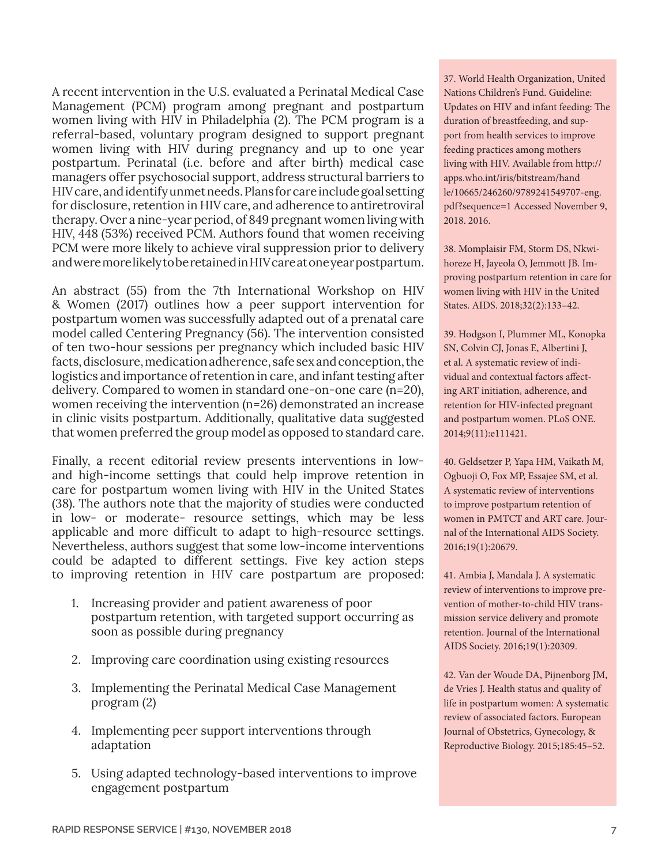A recent intervention in the U.S. evaluated a Perinatal Medical Case Management (PCM) program among pregnant and postpartum women living with HIV in Philadelphia (2). The PCM program is a referral-based, voluntary program designed to support pregnant women living with HIV during pregnancy and up to one year postpartum. Perinatal (i.e. before and after birth) medical case managers offer psychosocial support, address structural barriers to HIV care, and identify unmet needs. Plans for care include goal setting for disclosure, retention in HIV care, and adherence to antiretroviral therapy. Over a nine-year period, of 849 pregnant women living with HIV, 448 (53%) received PCM. Authors found that women receiving PCM were more likely to achieve viral suppression prior to delivery and were more likely to be retained in HIV care at one year postpartum.

An abstract (55) from the 7th International Workshop on HIV & Women (2017) outlines how a peer support intervention for postpartum women was successfully adapted out of a prenatal care model called Centering Pregnancy (56). The intervention consisted of ten two-hour sessions per pregnancy which included basic HIV facts, disclosure, medication adherence, safe sex and conception, the logistics and importance of retention in care, and infant testing after delivery. Compared to women in standard one-on-one care (n=20), women receiving the intervention (n=26) demonstrated an increase in clinic visits postpartum. Additionally, qualitative data suggested that women preferred the group model as opposed to standard care.

Finally, a recent editorial review presents interventions in lowand high-income settings that could help improve retention in care for postpartum women living with HIV in the United States (38). The authors note that the majority of studies were conducted in low- or moderate- resource settings, which may be less applicable and more difficult to adapt to high-resource settings. Nevertheless, authors suggest that some low-income interventions could be adapted to different settings. Five key action steps to improving retention in HIV care postpartum are proposed:

- 1. Increasing provider and patient awareness of poor postpartum retention, with targeted support occurring as soon as possible during pregnancy
- 2. Improving care coordination using existing resources
- 3. Implementing the Perinatal Medical Case Management program (2)
- 4. Implementing peer support interventions through adaptation
- 5. Using adapted technology-based interventions to improve engagement postpartum

37. World Health Organization, United Nations Children's Fund. Guideline: Updates on HIV and infant feeding: The duration of breastfeeding, and support from health services to improve feeding practices among mothers living with HIV. Available from [http://](http://apps.who.int/iris/bitstream/handle/10665/246260/9789241549707-eng.pdf?sequence=1) [apps.who.int/iris/bitstream/hand](http://apps.who.int/iris/bitstream/handle/10665/246260/9789241549707-eng.pdf?sequence=1) [le/10665/246260/9789241549707-eng.](http://apps.who.int/iris/bitstream/handle/10665/246260/9789241549707-eng.pdf?sequence=1) [pdf?sequence=1](http://apps.who.int/iris/bitstream/handle/10665/246260/9789241549707-eng.pdf?sequence=1) Accessed November 9, 2018. 2016.

38. Momplaisir FM, Storm DS, Nkwihoreze H, Jayeola O, Jemmott JB. Improving postpartum retention in care for women living with HIV in the United States. AIDS. 2018;32(2):133–42.

39. Hodgson I, Plummer ML, Konopka SN, Colvin CJ, Jonas E, Albertini J, et al. A systematic review of individual and contextual factors affecting ART initiation, adherence, and retention for HIV-infected pregnant and postpartum women. PLoS ONE. 2014;9(11):e111421.

40. Geldsetzer P, Yapa HM, Vaikath M, Ogbuoji O, Fox MP, Essajee SM, et al. A systematic review of interventions to improve postpartum retention of women in PMTCT and ART care. Journal of the International AIDS Society. 2016;19(1):20679.

41. Ambia J, Mandala J. A systematic review of interventions to improve prevention of mother-to-child HIV transmission service delivery and promote retention. Journal of the International AIDS Society. 2016;19(1):20309.

42. Van der Woude DA, Pijnenborg JM, de Vries J. Health status and quality of life in postpartum women: A systematic review of associated factors. European Journal of Obstetrics, Gynecology, & Reproductive Biology. 2015;185:45–52.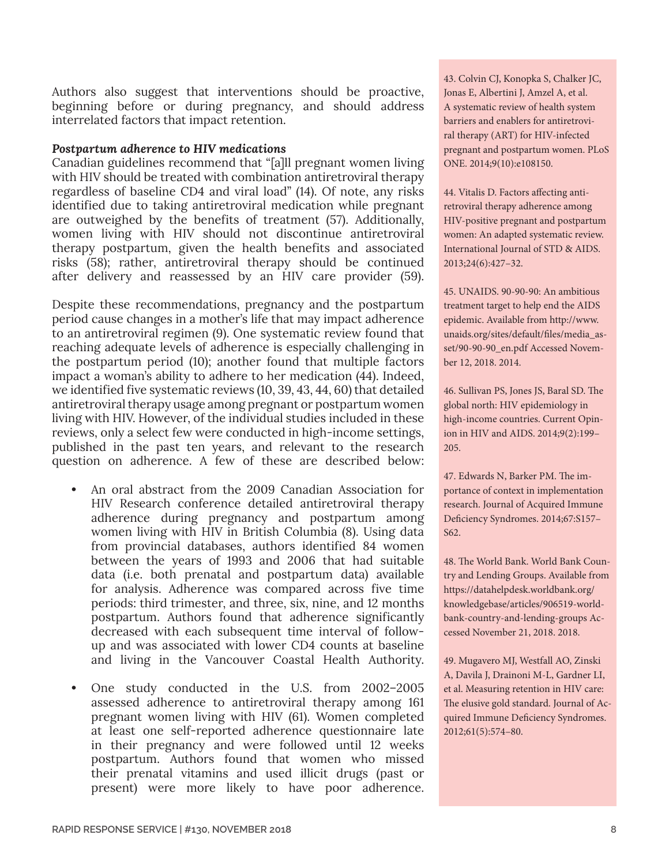Authors also suggest that interventions should be proactive, beginning before or during pregnancy, and should address interrelated factors that impact retention.

#### *Postpartum adherence to HIV medications*

Canadian guidelines recommend that "[a]ll pregnant women living with HIV should be treated with combination antiretroviral therapy regardless of baseline CD4 and viral load" (14). Of note, any risks identified due to taking antiretroviral medication while pregnant are outweighed by the benefits of treatment (57). Additionally, women living with HIV should not discontinue antiretroviral therapy postpartum, given the health benefits and associated risks (58); rather, antiretroviral therapy should be continued after delivery and reassessed by an HIV care provider (59).

Despite these recommendations, pregnancy and the postpartum period cause changes in a mother's life that may impact adherence to an antiretroviral regimen (9). One systematic review found that reaching adequate levels of adherence is especially challenging in the postpartum period (10); another found that multiple factors impact a woman's ability to adhere to her medication (44). Indeed, we identified five systematic reviews (10, 39, 43, 44, 60) that detailed antiretroviral therapy usage among pregnant or postpartum women living with HIV. However, of the individual studies included in these reviews, only a select few were conducted in high-income settings, published in the past ten years, and relevant to the research question on adherence. A few of these are described below:

- **•** An oral abstract from the 2009 Canadian Association for HIV Research conference detailed antiretroviral therapy adherence during pregnancy and postpartum among women living with HIV in British Columbia (8). Using data from provincial databases, authors identified 84 women between the years of 1993 and 2006 that had suitable data (i.e. both prenatal and postpartum data) available for analysis. Adherence was compared across five time periods: third trimester, and three, six, nine, and 12 months postpartum. Authors found that adherence significantly decreased with each subsequent time interval of followup and was associated with lower CD4 counts at baseline and living in the Vancouver Coastal Health Authority.
- **•** One study conducted in the U.S. from 2002–2005 assessed adherence to antiretroviral therapy among 161 pregnant women living with HIV (61). Women completed at least one self-reported adherence questionnaire late in their pregnancy and were followed until 12 weeks postpartum. Authors found that women who missed their prenatal vitamins and used illicit drugs (past or present) were more likely to have poor adherence.

43. Colvin CJ, Konopka S, Chalker JC, Jonas E, Albertini J, Amzel A, et al. A systematic review of health system barriers and enablers for antiretroviral therapy (ART) for HIV-infected pregnant and postpartum women. PLoS ONE. 2014;9(10):e108150.

44. Vitalis D. Factors affecting antiretroviral therapy adherence among HIV-positive pregnant and postpartum women: An adapted systematic review. International Journal of STD & AIDS. 2013;24(6):427–32.

45. UNAIDS. 90-90-90: An ambitious treatment target to help end the AIDS epidemic. Available from [http://www.](http://www.unaids.org/sites/default/files/media_asset/90-90-90_en.pdf) [unaids.org/sites/default/files/media\\_as](http://www.unaids.org/sites/default/files/media_asset/90-90-90_en.pdf)[set/90-90-90\\_en.pdf](http://www.unaids.org/sites/default/files/media_asset/90-90-90_en.pdf) Accessed November 12, 2018. 2014.

46. Sullivan PS, Jones JS, Baral SD. The global north: HIV epidemiology in high-income countries. Current Opinion in HIV and AIDS. 2014;9(2):199– 205.

47. Edwards N, Barker PM. The importance of context in implementation research. Journal of Acquired Immune Deficiency Syndromes. 2014;67:S157– S62.

48. The World Bank. World Bank Country and Lending Groups. Available from [https://datahelpdesk.worldbank.org/](https://datahelpdesk.worldbank.org/knowledgebase/articles/906519-world-bank-country-and-lending-groups) [knowledgebase/articles/906519-world](https://datahelpdesk.worldbank.org/knowledgebase/articles/906519-world-bank-country-and-lending-groups)[bank-country-and-lending-groups](https://datahelpdesk.worldbank.org/knowledgebase/articles/906519-world-bank-country-and-lending-groups) Accessed November 21, 2018. 2018.

49. Mugavero MJ, Westfall AO, Zinski A, Davila J, Drainoni M-L, Gardner LI, et al. Measuring retention in HIV care: The elusive gold standard. Journal of Acquired Immune Deficiency Syndromes. 2012;61(5):574–80.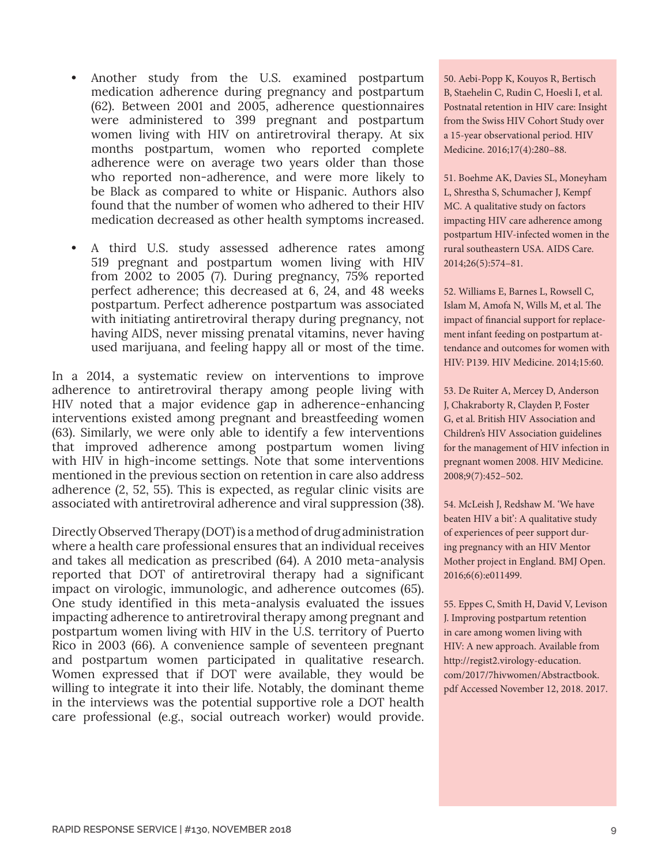- **•** Another study from the U.S. examined postpartum medication adherence during pregnancy and postpartum (62). Between 2001 and 2005, adherence questionnaires were administered to 399 pregnant and postpartum women living with HIV on antiretroviral therapy. At six months postpartum, women who reported complete adherence were on average two years older than those who reported non-adherence, and were more likely to be Black as compared to white or Hispanic. Authors also found that the number of women who adhered to their HIV medication decreased as other health symptoms increased.
- **•** A third U.S. study assessed adherence rates among 519 pregnant and postpartum women living with HIV from 2002 to 2005 (7). During pregnancy, 75% reported perfect adherence; this decreased at 6, 24, and 48 weeks postpartum. Perfect adherence postpartum was associated with initiating antiretroviral therapy during pregnancy, not having AIDS, never missing prenatal vitamins, never having used marijuana, and feeling happy all or most of the time.

In a 2014, a systematic review on interventions to improve adherence to antiretroviral therapy among people living with HIV noted that a major evidence gap in adherence-enhancing interventions existed among pregnant and breastfeeding women (63). Similarly, we were only able to identify a few interventions that improved adherence among postpartum women living with HIV in high-income settings. Note that some interventions mentioned in the previous section on retention in care also address adherence (2, 52, 55). This is expected, as regular clinic visits are associated with antiretroviral adherence and viral suppression (38).

Directly Observed Therapy (DOT) is a method of drug administration where a health care professional ensures that an individual receives and takes all medication as prescribed (64). A 2010 meta-analysis reported that DOT of antiretroviral therapy had a significant impact on virologic, immunologic, and adherence outcomes (65). One study identified in this meta-analysis evaluated the issues impacting adherence to antiretroviral therapy among pregnant and postpartum women living with HIV in the U.S. territory of Puerto Rico in 2003 (66). A convenience sample of seventeen pregnant and postpartum women participated in qualitative research. Women expressed that if DOT were available, they would be willing to integrate it into their life. Notably, the dominant theme in the interviews was the potential supportive role a DOT health care professional (e.g., social outreach worker) would provide.

50. Aebi-Popp K, Kouyos R, Bertisch B, Staehelin C, Rudin C, Hoesli I, et al. Postnatal retention in HIV care: Insight from the Swiss HIV Cohort Study over a 15-year observational period. HIV Medicine. 2016;17(4):280–88.

51. Boehme AK, Davies SL, Moneyham L, Shrestha S, Schumacher J, Kempf MC. A qualitative study on factors impacting HIV care adherence among postpartum HIV-infected women in the rural southeastern USA. AIDS Care. 2014;26(5):574–81.

52. Williams E, Barnes L, Rowsell C, Islam M, Amofa N, Wills M, et al. The impact of financial support for replacement infant feeding on postpartum attendance and outcomes for women with HIV: P139. HIV Medicine. 2014;15:60.

53. De Ruiter A, Mercey D, Anderson J, Chakraborty R, Clayden P, Foster G, et al. British HIV Association and Children's HIV Association guidelines for the management of HIV infection in pregnant women 2008. HIV Medicine. 2008;9(7):452–502.

54. McLeish J, Redshaw M. 'We have beaten HIV a bit': A qualitative study of experiences of peer support during pregnancy with an HIV Mentor Mother project in England. BMJ Open. 2016;6(6):e011499.

55. Eppes C, Smith H, David V, Levison J. Improving postpartum retention in care among women living with HIV: A new approach. Available from [http://regist2.virology-education.](http://regist2.virology-education.com/2017/7hivwomen/Abstractbook.pdf) [com/2017/7hivwomen/Abstractbook.](http://regist2.virology-education.com/2017/7hivwomen/Abstractbook.pdf) [pdf](http://regist2.virology-education.com/2017/7hivwomen/Abstractbook.pdf) Accessed November 12, 2018. 2017.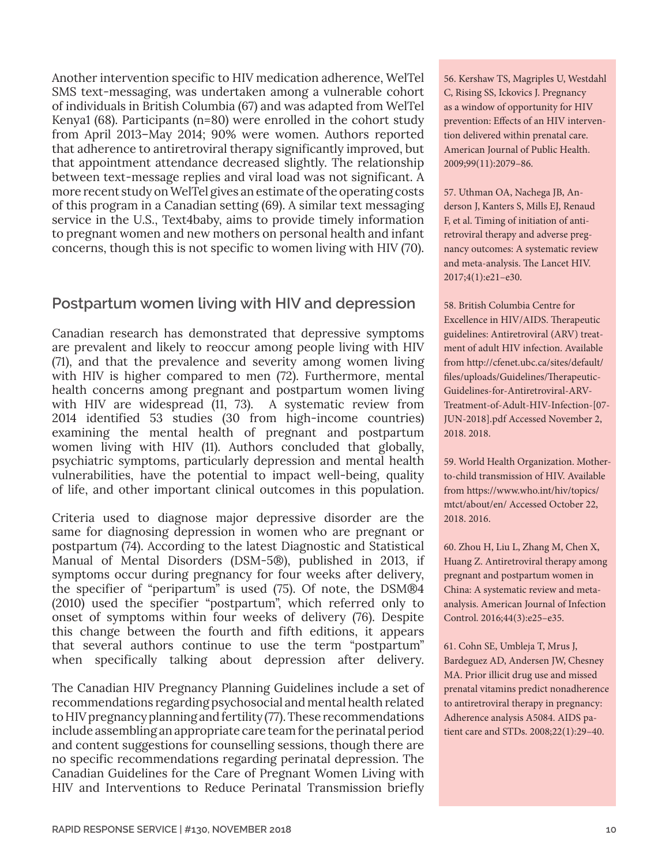Another intervention specific to HIV medication adherence, WelTel SMS text-messaging, was undertaken among a vulnerable cohort of individuals in British Columbia (67) and was adapted from WelTel Kenya1 (68). Participants (n=80) were enrolled in the cohort study from April 2013–May 2014; 90% were women. Authors reported that adherence to antiretroviral therapy significantly improved, but that appointment attendance decreased slightly. The relationship between text-message replies and viral load was not significant. A more recent study on WelTel gives an estimate of the operating costs of this program in a Canadian setting (69). A similar text messaging service in the U.S., Text4baby, aims to provide timely information to pregnant women and new mothers on personal health and infant concerns, though this is not specific to women living with HIV (70).

### **Postpartum women living with HIV and depression**

Canadian research has demonstrated that depressive symptoms are prevalent and likely to reoccur among people living with HIV (71), and that the prevalence and severity among women living with HIV is higher compared to men (72). Furthermore, mental health concerns among pregnant and postpartum women living with HIV are widespread (11, 73). A systematic review from 2014 identified 53 studies (30 from high-income countries) examining the mental health of pregnant and postpartum women living with HIV (11). Authors concluded that globally, psychiatric symptoms, particularly depression and mental health vulnerabilities, have the potential to impact well-being, quality of life, and other important clinical outcomes in this population.

Criteria used to diagnose major depressive disorder are the same for diagnosing depression in women who are pregnant or postpartum (74). According to the latest Diagnostic and Statistical Manual of Mental Disorders (DSM-5®), published in 2013, if symptoms occur during pregnancy for four weeks after delivery, the specifier of "peripartum" is used (75). Of note, the DSM®4 (2010) used the specifier "postpartum", which referred only to onset of symptoms within four weeks of delivery (76). Despite this change between the fourth and fifth editions, it appears that several authors continue to use the term "postpartum" when specifically talking about depression after delivery.

The Canadian HIV Pregnancy Planning Guidelines include a set of recommendations regarding psychosocial and mental health related to HIV pregnancy planning and fertility (77). These recommendations include assembling an appropriate care team for the perinatal period and content suggestions for counselling sessions, though there are no specific recommendations regarding perinatal depression. The Canadian Guidelines for the Care of Pregnant Women Living with HIV and Interventions to Reduce Perinatal Transmission briefly

56. Kershaw TS, Magriples U, Westdahl C, Rising SS, Ickovics J. Pregnancy as a window of opportunity for HIV prevention: Effects of an HIV intervention delivered within prenatal care. American Journal of Public Health. 2009;99(11):2079–86.

57. Uthman OA, Nachega JB, Anderson J, Kanters S, Mills EJ, Renaud F, et al. Timing of initiation of antiretroviral therapy and adverse pregnancy outcomes: A systematic review and meta-analysis. The Lancet HIV. 2017;4(1):e21–e30.

58. British Columbia Centre for Excellence in HIV/AIDS. Therapeutic guidelines: Antiretroviral (ARV) treatment of adult HIV infection. Available from [http://cfenet.ubc.ca/sites/default/](http://cfenet.ubc.ca/sites/default/files/uploads/Guidelines/Therapeutic-Guidelines-for-Antiretroviral-ARV-Treatment-of-Adult-HIV-Infection-[07-JUN-2018].pdf) [files/uploads/Guidelines/Therapeutic-](http://cfenet.ubc.ca/sites/default/files/uploads/Guidelines/Therapeutic-Guidelines-for-Antiretroviral-ARV-Treatment-of-Adult-HIV-Infection-[07-JUN-2018].pdf)[Guidelines-for-Antiretroviral-ARV-](http://cfenet.ubc.ca/sites/default/files/uploads/Guidelines/Therapeutic-Guidelines-for-Antiretroviral-ARV-Treatment-of-Adult-HIV-Infection-[07-JUN-2018].pdf)[Treatment-of-Adult-HIV-Infection-\[07-](http://cfenet.ubc.ca/sites/default/files/uploads/Guidelines/Therapeutic-Guidelines-for-Antiretroviral-ARV-Treatment-of-Adult-HIV-Infection-[07-JUN-2018].pdf) [JUN-2018\].pdf](http://cfenet.ubc.ca/sites/default/files/uploads/Guidelines/Therapeutic-Guidelines-for-Antiretroviral-ARV-Treatment-of-Adult-HIV-Infection-[07-JUN-2018].pdf) Accessed November 2, 2018. 2018.

59. World Health Organization. Motherto-child transmission of HIV. Available from [https://www.who.int/hiv/topics/](https://www.who.int/hiv/topics/mtct/about/en/) [mtct/about/en/](https://www.who.int/hiv/topics/mtct/about/en/) Accessed October 22, 2018. 2016.

60. Zhou H, Liu L, Zhang M, Chen X, Huang Z. Antiretroviral therapy among pregnant and postpartum women in China: A systematic review and metaanalysis. American Journal of Infection Control. 2016;44(3):e25–e35.

61. Cohn SE, Umbleja T, Mrus J, Bardeguez AD, Andersen JW, Chesney MA. Prior illicit drug use and missed prenatal vitamins predict nonadherence to antiretroviral therapy in pregnancy: Adherence analysis A5084. AIDS patient care and STDs. 2008;22(1):29–40.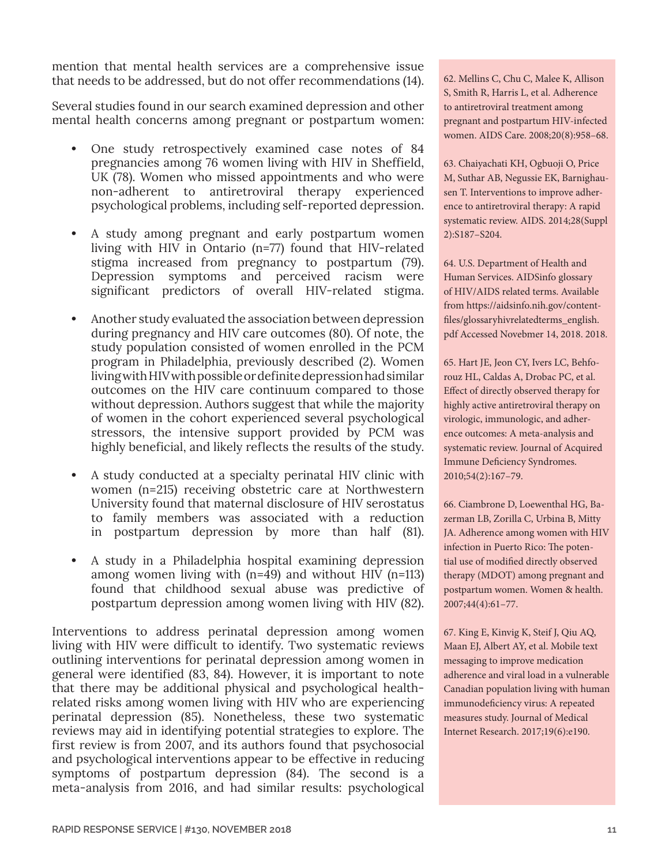mention that mental health services are a comprehensive issue that needs to be addressed, but do not offer recommendations (14).

Several studies found in our search examined depression and other mental health concerns among pregnant or postpartum women:

- **•** One study retrospectively examined case notes of 84 pregnancies among 76 women living with HIV in Sheffield, UK (78). Women who missed appointments and who were non-adherent to antiretroviral therapy experienced psychological problems, including self-reported depression.
- **•** A study among pregnant and early postpartum women living with HIV in Ontario (n=77) found that HIV-related stigma increased from pregnancy to postpartum (79). Depression symptoms and perceived racism were significant predictors of overall HIV-related stigma.
- **•** Another study evaluated the association between depression during pregnancy and HIV care outcomes (80). Of note, the study population consisted of women enrolled in the PCM program in Philadelphia, previously described (2). Women living with HIV with possible or definite depression had similar outcomes on the HIV care continuum compared to those without depression. Authors suggest that while the majority of women in the cohort experienced several psychological stressors, the intensive support provided by PCM was highly beneficial, and likely reflects the results of the study.
- **•** A study conducted at a specialty perinatal HIV clinic with women (n=215) receiving obstetric care at Northwestern University found that maternal disclosure of HIV serostatus to family members was associated with a reduction in postpartum depression by more than half (81).
- **•** A study in a Philadelphia hospital examining depression among women living with (n=49) and without HIV (n=113) found that childhood sexual abuse was predictive of postpartum depression among women living with HIV (82).

Interventions to address perinatal depression among women living with HIV were difficult to identify. Two systematic reviews outlining interventions for perinatal depression among women in general were identified (83, 84). However, it is important to note that there may be additional physical and psychological healthrelated risks among women living with HIV who are experiencing perinatal depression (85). Nonetheless, these two systematic reviews may aid in identifying potential strategies to explore. The first review is from 2007, and its authors found that psychosocial and psychological interventions appear to be effective in reducing symptoms of postpartum depression (84). The second is a meta-analysis from 2016, and had similar results: psychological 62. Mellins C, Chu C, Malee K, Allison S, Smith R, Harris L, et al. Adherence to antiretroviral treatment among pregnant and postpartum HIV-infected women. AIDS Care. 2008;20(8):958–68.

63. Chaiyachati KH, Ogbuoji O, Price M, Suthar AB, Negussie EK, Barnighausen T. Interventions to improve adherence to antiretroviral therapy: A rapid systematic review. AIDS. 2014;28(Suppl 2):S187–S204.

64. U.S. Department of Health and Human Services. AIDSinfo glossary of HIV/AIDS related terms. Available from [https://aidsinfo.nih.gov/content](https://aidsinfo.nih.gov/contentfiles/glossaryhivrelatedterms_english.pdf)[files/glossaryhivrelatedterms\\_english.](https://aidsinfo.nih.gov/contentfiles/glossaryhivrelatedterms_english.pdf) [pdf](https://aidsinfo.nih.gov/contentfiles/glossaryhivrelatedterms_english.pdf) Accessed Novebmer 14, 2018. 2018.

65. Hart JE, Jeon CY, Ivers LC, Behforouz HL, Caldas A, Drobac PC, et al. Effect of directly observed therapy for highly active antiretroviral therapy on virologic, immunologic, and adherence outcomes: A meta-analysis and systematic review. Journal of Acquired Immune Deficiency Syndromes. 2010;54(2):167–79.

66. Ciambrone D, Loewenthal HG, Bazerman LB, Zorilla C, Urbina B, Mitty JA. Adherence among women with HIV infection in Puerto Rico: The potential use of modified directly observed therapy (MDOT) among pregnant and postpartum women. Women & health. 2007;44(4):61–77.

67. King E, Kinvig K, Steif J, Qiu AQ, Maan EJ, Albert AY, et al. Mobile text messaging to improve medication adherence and viral load in a vulnerable Canadian population living with human immunodeficiency virus: A repeated measures study. Journal of Medical Internet Research. 2017;19(6):e190.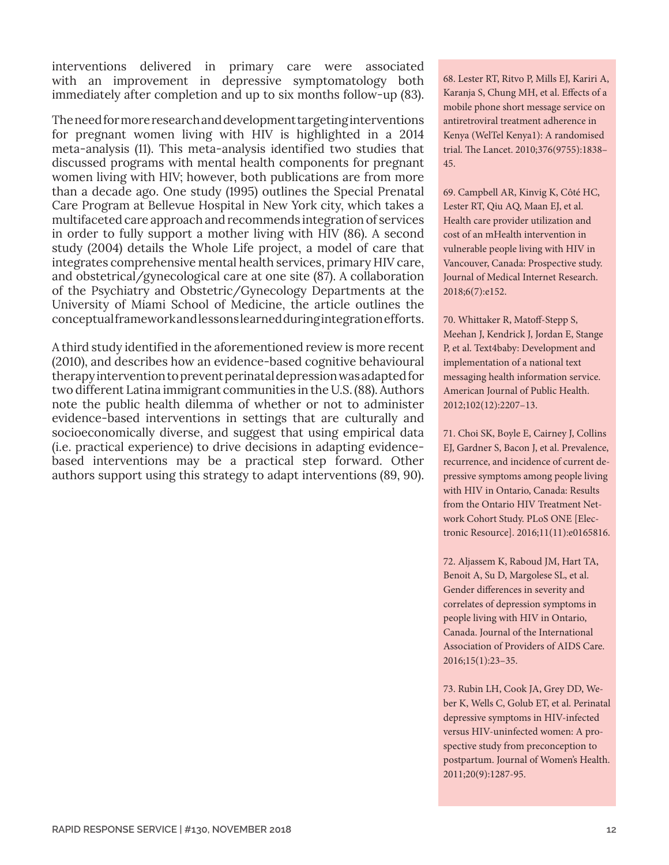interventions delivered in primary care were associated with an improvement in depressive symptomatology both immediately after completion and up to six months follow-up (83).

The need for more research and development targeting interventions for pregnant women living with HIV is highlighted in a 2014 meta-analysis (11). This meta-analysis identified two studies that discussed programs with mental health components for pregnant women living with HIV; however, both publications are from more than a decade ago. One study (1995) outlines the Special Prenatal Care Program at Bellevue Hospital in New York city, which takes a multifaceted care approach and recommends integration of services in order to fully support a mother living with HIV (86). A second study (2004) details the Whole Life project, a model of care that integrates comprehensive mental health services, primary HIV care, and obstetrical/gynecological care at one site (87). A collaboration of the Psychiatry and Obstetric/Gynecology Departments at the University of Miami School of Medicine, the article outlines the conceptual framework and lessons learned during integration efforts.

A third study identified in the aforementioned review is more recent (2010), and describes how an evidence-based cognitive behavioural therapy intervention to prevent perinatal depression was adapted for two different Latina immigrant communities in the U.S. (88). Authors note the public health dilemma of whether or not to administer evidence-based interventions in settings that are culturally and socioeconomically diverse, and suggest that using empirical data (i.e. practical experience) to drive decisions in adapting evidencebased interventions may be a practical step forward. Other authors support using this strategy to adapt interventions (89, 90).

68. Lester RT, Ritvo P, Mills EJ, Kariri A, Karanja S, Chung MH, et al. Effects of a mobile phone short message service on antiretroviral treatment adherence in Kenya (WelTel Kenya1): A randomised trial. The Lancet. 2010;376(9755):1838– 45.

69. Campbell AR, Kinvig K, Côté HC, Lester RT, Qiu AQ, Maan EJ, et al. Health care provider utilization and cost of an mHealth intervention in vulnerable people living with HIV in Vancouver, Canada: Prospective study. Journal of Medical Internet Research. 2018;6(7):e152.

70. Whittaker R, Matoff-Stepp S, Meehan J, Kendrick J, Jordan E, Stange P, et al. Text4baby: Development and implementation of a national text messaging health information service. American Journal of Public Health. 2012;102(12):2207–13.

71. Choi SK, Boyle E, Cairney J, Collins EJ, Gardner S, Bacon J, et al. Prevalence, recurrence, and incidence of current depressive symptoms among people living with HIV in Ontario, Canada: Results from the Ontario HIV Treatment Network Cohort Study. PLoS ONE [Electronic Resource]. 2016;11(11):e0165816.

72. Aljassem K, Raboud JM, Hart TA, Benoit A, Su D, Margolese SL, et al. Gender differences in severity and correlates of depression symptoms in people living with HIV in Ontario, Canada. Journal of the International Association of Providers of AIDS Care. 2016;15(1):23–35.

73. Rubin LH, Cook JA, Grey DD, Weber K, Wells C, Golub ET, et al. Perinatal depressive symptoms in HIV-infected versus HIV-uninfected women: A prospective study from preconception to postpartum. Journal of Women's Health. 2011;20(9):1287-95.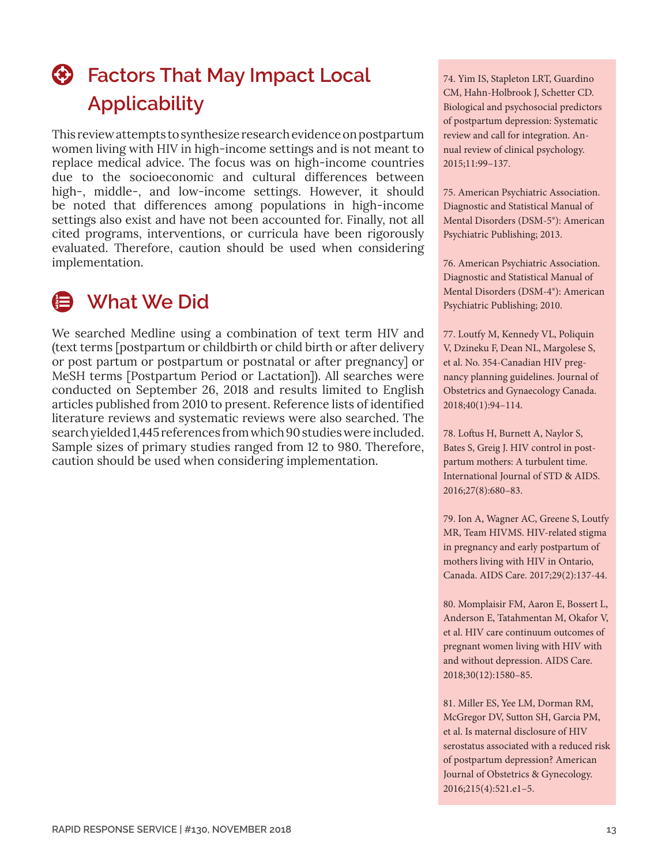## **<sup>43</sup>** Factors That May Impact Local **Applicability**

This review attempts to synthesize research evidence on postpartum women living with HIV in high-income settings and is not meant to replace medical advice. The focus was on high-income countries due to the socioeconomic and cultural differences between high-, middle-, and low-income settings. However, it should be noted that differences among populations in high-income settings also exist and have not been accounted for. Finally, not all cited programs, interventions, or curricula have been rigorously evaluated. Therefore, caution should be used when considering implementation.

### **What We Did**

We searched Medline using a combination of text term HIV and (text terms [postpartum or childbirth or child birth or after delivery or post partum or postpartum or postnatal or after pregnancy] or MeSH terms [Postpartum Period or Lactation]). All searches were conducted on September 26, 2018 and results limited to English articles published from 2010 to present. Reference lists of identified literature reviews and systematic reviews were also searched. The search yielded 1,445 references from which 90 studies were included. Sample sizes of primary studies ranged from 12 to 980. Therefore, caution should be used when considering implementation.

74. Yim IS, Stapleton LRT, Guardino CM, Hahn-Holbrook J, Schetter CD. Biological and psychosocial predictors of postpartum depression: Systematic review and call for integration. Annual review of clinical psychology. 2015;11:99–137.

75. American Psychiatric Association. Diagnostic and Statistical Manual of Mental Disorders (DSM-5®): American Psychiatric Publishing; 2013.

76. American Psychiatric Association. Diagnostic and Statistical Manual of Mental Disorders (DSM-4®): American Psychiatric Publishing; 2010.

77. Loutfy M, Kennedy VL, Poliquin V, Dzineku F, Dean NL, Margolese S, et al. No. 354-Canadian HIV pregnancy planning guidelines. Journal of Obstetrics and Gynaecology Canada. 2018;40(1):94–114.

78. Loftus H, Burnett A, Naylor S, Bates S, Greig J. HIV control in postpartum mothers: A turbulent time. International Journal of STD & AIDS. 2016;27(8):680–83.

79. Ion A, Wagner AC, Greene S, Loutfy MR, Team HIVMS. HIV-related stigma in pregnancy and early postpartum of mothers living with HIV in Ontario, Canada. AIDS Care. 2017;29(2):137-44.

80. Momplaisir FM, Aaron E, Bossert L, Anderson E, Tatahmentan M, Okafor V, et al. HIV care continuum outcomes of pregnant women living with HIV with and without depression. AIDS Care. 2018;30(12):1580–85.

81. Miller ES, Yee LM, Dorman RM, McGregor DV, Sutton SH, Garcia PM, et al. Is maternal disclosure of HIV serostatus associated with a reduced risk of postpartum depression? American Journal of Obstetrics & Gynecology. 2016;215(4):521.e1–5.